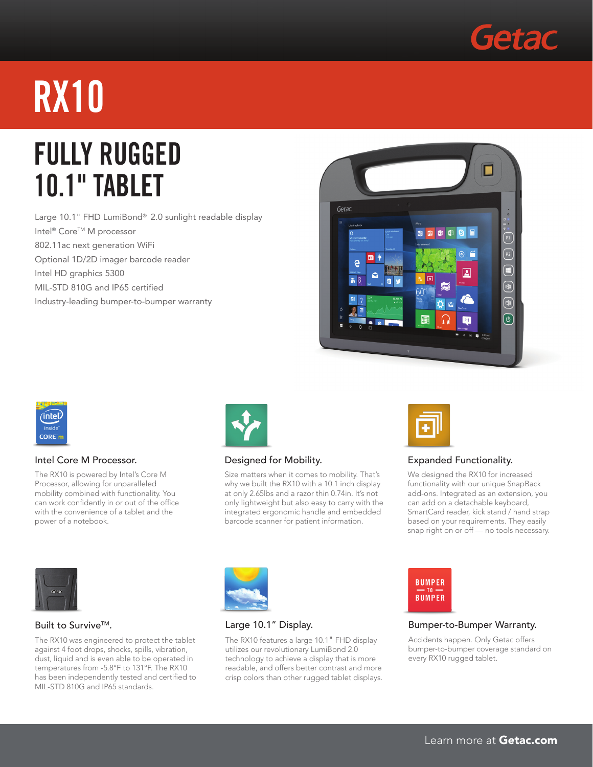

# **RX10**

### **FULLY Rugged 10.1" Tablet**

Large 10.1" FHD LumiBond® 2.0 sunlight readable display Intel<sup>®</sup> Core™ M processor 802.11ac next generation WiFi Optional 1D/2D imager barcode reader Intel HD graphics 5300 MIL-STD 810G and IP65 certified Industry-leading bumper-to-bumper warranty





#### Intel Core M Processor.

The RX10 is powered by Intel's Core M Processor, allowing for unparalleled mobility combined with functionality. You can work confidently in or out of the office with the convenience of a tablet and the power of a notebook.



#### Designed for Mobility.

Size matters when it comes to mobility. That's why we built the RX10 with a 10.1 inch display at only 2.65lbs and a razor thin 0.74in. It's not only lightweight but also easy to carry with the integrated ergonomic handle and embedded barcode scanner for patient information.



#### Expanded Functionality.

We designed the RX10 for increased functionality with our unique SnapBack add-ons. Integrated as an extension, you can add on a detachable keyboard, SmartCard reader, kick stand / hand strap based on your requirements. They easily snap right on or off — no tools necessary.



#### Built to Survive™.

The RX10 was engineered to protect the tablet against 4 foot drops, shocks, spills, vibration, dust, liquid and is even able to be operated in temperatures from -5.8°F to 131°F. The RX10 has been independently tested and certified to MIL-STD 810G and IP65 standards.



#### Large 10.1" Display.

The RX10 features a large 10.1" FHD display utilizes our revolutionary LumiBond 2.0 technology to achieve a display that is more readable, and offers better contrast and more crisp colors than other rugged tablet displays.



#### Bumper-to-Bumper Warranty.

Accidents happen. Only Getac offers bumper-to-bumper coverage standard on every RX10 rugged tablet.